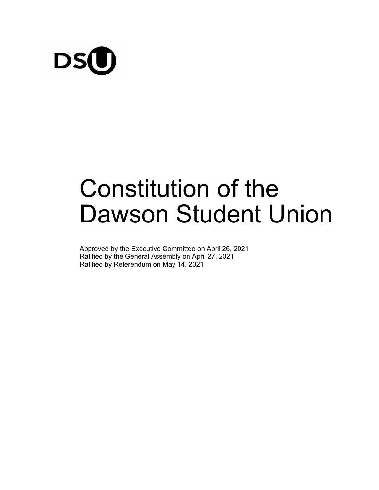

# Constitution of the Dawson Student Union

Approved by the Executive Committee on April 26, 2021 Ratified by the General Assembly on April 27, 2021 Ratified by Referendum on May 14, 2021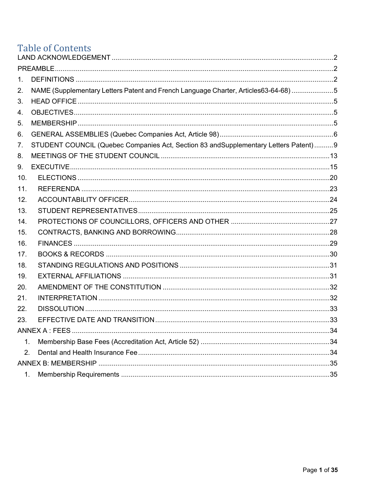## **Table of Contents**

| 1.  |                                                                                      |  |  |
|-----|--------------------------------------------------------------------------------------|--|--|
| 2.  | NAME (Supplementary Letters Patent and French Language Charter, Articles63-64-68) 5  |  |  |
| 3.  |                                                                                      |  |  |
| 4.  |                                                                                      |  |  |
| 5.  |                                                                                      |  |  |
| 6.  |                                                                                      |  |  |
| 7.  | STUDENT COUNCIL (Quebec Companies Act, Section 83 and Supplementary Letters Patent)9 |  |  |
| 8.  |                                                                                      |  |  |
| 9.  |                                                                                      |  |  |
| 10. |                                                                                      |  |  |
| 11. |                                                                                      |  |  |
| 12. |                                                                                      |  |  |
| 13. |                                                                                      |  |  |
| 14. |                                                                                      |  |  |
| 15. |                                                                                      |  |  |
| 16. |                                                                                      |  |  |
| 17. |                                                                                      |  |  |
| 18. |                                                                                      |  |  |
| 19. |                                                                                      |  |  |
| 20. |                                                                                      |  |  |
| 21. |                                                                                      |  |  |
| 22. |                                                                                      |  |  |
| 23. |                                                                                      |  |  |
|     |                                                                                      |  |  |
| 1.  |                                                                                      |  |  |
| 2.  |                                                                                      |  |  |
|     |                                                                                      |  |  |
| 1.  |                                                                                      |  |  |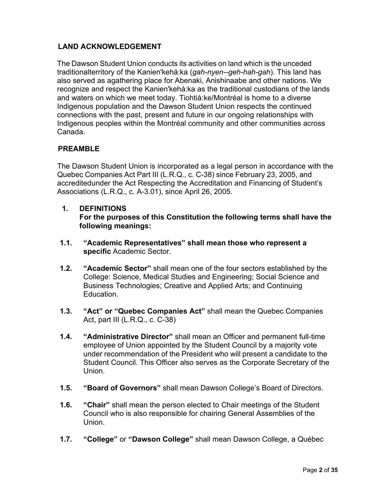## <span id="page-2-0"></span>**LAND ACKNOWLEDGEMENT**

The Dawson Student Union conducts its activities on land which is the unceded traditionalterritory of the Kanien'kehá:ka (*gah-nyen--geh-hah-gah*). This land has also served as agathering place for Abenaki, Anishinaabe and other nations. We recognize and respect the Kanien'kehá:ka as the traditional custodians of the lands and waters on which we meet today. Tiohtià:ke/Montréal is home to a diverse Indigenous population and the Dawson Student Union respects the continued connections with the past, present and future in our ongoing relationships with Indigenous peoples within the Montréal community and other communities across Canada.

## <span id="page-2-1"></span>**PREAMBLE**

The Dawson Student Union is incorporated as a legal person in accordance with the Quebec Companies Act Part III (L.R.Q., c. C-38) since February 23, 2005, and accreditedunder the Act Respecting the Accreditation and Financing of Student's Associations (L.R.Q., c. A-3.01), since April 26, 2005.

## <span id="page-2-2"></span>**1. DEFINITIONS For the purposes of this Constitution the following terms shall have the following meanings:**

- **1.1. "Academic Representatives" shall mean those who represent a specific** Academic Sector.
- **1.2. "Academic Sector"** shall mean one of the four sectors established by the College: Science, Medical Studies and Engineering; Social Science and Business Technologies; Creative and Applied Arts; and Continuing **Education**
- **1.3. "Act" or "Quebec Companies Act"** shall mean the Quebec Companies Act, part III (L.R.Q., c. C-38)
- **1.4. "Administrative Director"** shall mean an Officer and permanent full-time employee of Union appointed by the Student Council by a majority vote under recommendation of the President who will present a candidate to the Student Council. This Officer also serves as the Corporate Secretary of the Union.
- **1.5. "Board of Governors"** shall mean Dawson College's Board of Directors.
- **1.6. "Chair"** shall mean the person elected to Chair meetings of the Student Council who is also responsible for chairing General Assemblies of the **Union**
- **1.7. "College"** or **"Dawson College"** shall mean Dawson College, a Québec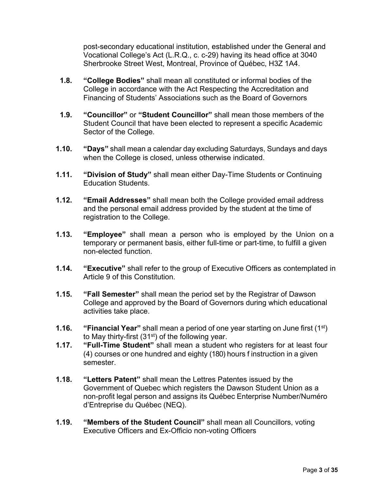post-secondary educational institution, established under the General and Vocational College's Act (L.R.Q., c. c-29) having its head office at 3040 Sherbrooke Street West, Montreal, Province of Québec, H3Z 1A4.

- **1.8. "College Bodies"** shall mean all constituted or informal bodies of the College in accordance with the Act Respecting the Accreditation and Financing of Students' Associations such as the Board of Governors
- **1.9. "Councillor"** or **"Student Councillor"** shall mean those members of the Student Council that have been elected to represent a specific Academic Sector of the College.
- **1.10. "Days"** shall mean a calendar day excluding Saturdays, Sundays and days when the College is closed, unless otherwise indicated.
- **1.11. "Division of Study"** shall mean either Day-Time Students or Continuing Education Students.
- **1.12. "Email Addresses"** shall mean both the College provided email address and the personal email address provided by the student at the time of registration to the College.
- **1.13. "Employee"** shall mean a person who is employed by the Union on a temporary or permanent basis, either full-time or part-time, to fulfill a given non-elected function.
- **1.14. "Executive"** shall refer to the group of Executive Officers as contemplated in Article 9 of this Constitution.
- **1.15. "Fall Semester"** shall mean the period set by the Registrar of Dawson College and approved by the Board of Governors during which educational activities take place.
- **1.16. "Financial Year"** shall mean a period of one year starting on June first (1st) to May thirty-first  $(31<sup>st</sup>)$  of the following year.
- **1.17. "Full-Time Student"** shall mean a student who registers for at least four (4) courses or one hundred and eighty (180) hours f instruction in a given semester.
- **1.18. "Letters Patent"** shall mean the Lettres Patentes issued by the Government of Quebec which registers the Dawson Student Union as a non-profit legal person and assigns its Québec Enterprise Number/Numéro d'Entreprise du Québec (NEQ).
- **1.19. "Members of the Student Council"** shall mean all Councillors, voting Executive Officers and Ex-Officio non-voting Officers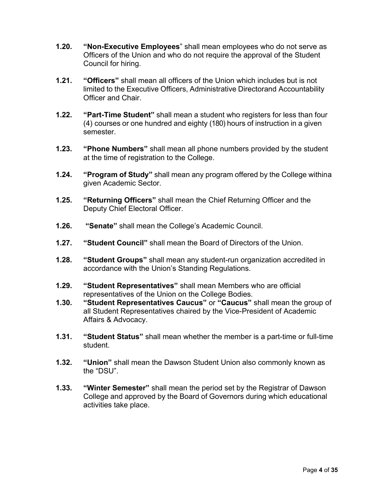- **1.20. "Non-Executive Employees**" shall mean employees who do not serve as Officers of the Union and who do not require the approval of the Student Council for hiring.
- **1.21. "Officers"** shall mean all officers of the Union which includes but is not limited to the Executive Officers, Administrative Directorand Accountability Officer and Chair.
- **1.22. "Part-Time Student"** shall mean a student who registers for less than four (4) courses or one hundred and eighty (180) hours of instruction in a given semester.
- **1.23. "Phone Numbers"** shall mean all phone numbers provided by the student at the time of registration to the College.
- **1.24. "Program of Study"** shall mean any program offered by the College withina given Academic Sector.
- **1.25. "Returning Officers"** shall mean the Chief Returning Officer and the Deputy Chief Electoral Officer.
- **1.26. "Senate"** shall mean the College's Academic Council.
- **1.27. "Student Council"** shall mean the Board of Directors of the Union.
- **1.28. "Student Groups"** shall mean any student-run organization accredited in accordance with the Union's Standing Regulations.
- **1.29. "Student Representatives"** shall mean Members who are official representatives of the Union on the College Bodies.
- **1.30. "Student Representatives Caucus"** or **"Caucus"** shall mean the group of all Student Representatives chaired by the Vice-President of Academic Affairs & Advocacy.
- **1.31. "Student Status"** shall mean whether the member is a part-time or full-time student.
- **1.32. "Union"** shall mean the Dawson Student Union also commonly known as the "DSU".
- **1.33. "Winter Semester"** shall mean the period set by the Registrar of Dawson College and approved by the Board of Governors during which educational activities take place.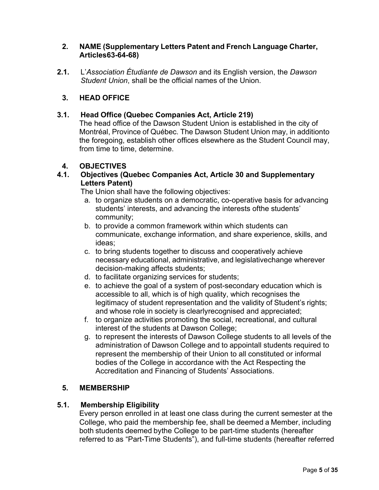#### <span id="page-5-0"></span>**2. NAME (Supplementary Letters Patent and French Language Charter, Articles63-64-68)**

**2.1.** L'*Association Étudiante de Dawson* and its English version, the *Dawson Student Union*, shall be the official names of the Union.

## **3. HEAD OFFICE**

#### <span id="page-5-1"></span>**3.1. Head Office (Quebec Companies Act, Article 219)**

The head office of the Dawson Student Union is established in the city of Montréal, Province of Québec. The Dawson Student Union may, in additionto the foregoing, establish other offices elsewhere as the Student Council may, from time to time, determine.

#### **4. OBJECTIVES**

#### <span id="page-5-2"></span>**4.1. Objectives (Quebec Companies Act, Article 30 and Supplementary Letters Patent)**

The Union shall have the following objectives:

- a. to organize students on a democratic, co-operative basis for advancing students' interests, and advancing the interests ofthe students' community;
- b. to provide a common framework within which students can communicate, exchange information, and share experience, skills, and ideas;
- c. to bring students together to discuss and cooperatively achieve necessary educational, administrative, and legislativechange wherever decision-making affects students;
- d. to facilitate organizing services for students;
- e. to achieve the goal of a system of post-secondary education which is accessible to all, which is of high quality, which recognises the legitimacy of student representation and the validity of Student's rights; and whose role in society is clearlyrecognised and appreciated;
- f. to organize activities promoting the social, recreational, and cultural interest of the students at Dawson College;
- g. to represent the interests of Dawson College students to all levels of the administration of Dawson College and to appointall students required to represent the membership of their Union to all constituted or informal bodies of the College in accordance with the Act Respecting the Accreditation and Financing of Students' Associations.

#### **5. MEMBERSHIP**

#### <span id="page-5-3"></span>**5.1. Membership Eligibility**

Every person enrolled in at least one class during the current semester at the College, who paid the membership fee, shall be deemed a Member, including both students deemed bythe College to be part-time students (hereafter referred to as "Part-Time Students"), and full-time students (hereafter referred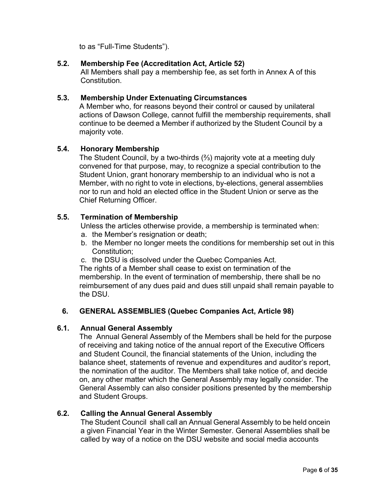to as "Full-Time Students").

## **5.2. Membership Fee (Accreditation Act, Article 52)**

All Members shall pay a membership fee, as set forth in Annex A of this **Constitution** 

#### **5.3. Membership Under Extenuating Circumstances**

A Member who, for reasons beyond their control or caused by unilateral actions of Dawson College, cannot fulfill the membership requirements, shall continue to be deemed a Member if authorized by the Student Council by a majority vote.

## **5.4. Honorary Membership**

The Student Council, by a two-thirds (⅔) majority vote at a meeting duly convened for that purpose, may, to recognize a special contribution to the Student Union, grant honorary membership to an individual who is not a Member, with no right to vote in elections, by-elections, general assemblies nor to run and hold an elected office in the Student Union or serve as the Chief Returning Officer.

## **5.5. Termination of Membership**

Unless the articles otherwise provide, a membership is terminated when:

- a. the Member's resignation or death;
- b. the Member no longer meets the conditions for membership set out in this Constitution;
- c. the DSU is dissolved under the Quebec Companies Act.

The rights of a Member shall cease to exist on termination of the membership. In the event of termination of membership, there shall be no reimbursement of any dues paid and dues still unpaid shall remain payable to the DSU.

#### **6. GENERAL ASSEMBLIES (Quebec Companies Act, Article 98)**

#### <span id="page-6-0"></span>**6.1. Annual General Assembly**

The Annual General Assembly of the Members shall be held for the purpose of receiving and taking notice of the annual report of the Executive Officers and Student Council, the financial statements of the Union, including the balance sheet, statements of revenue and expenditures and auditor's report, the nomination of the auditor. The Members shall take notice of, and decide on, any other matter which the General Assembly may legally consider. The General Assembly can also consider positions presented by the membership and Student Groups.

#### **6.2. Calling the Annual General Assembly**

The Student Council shall call an Annual General Assembly to be held oncein a given Financial Year in the Winter Semester. General Assemblies shall be called by way of a notice on the DSU website and social media accounts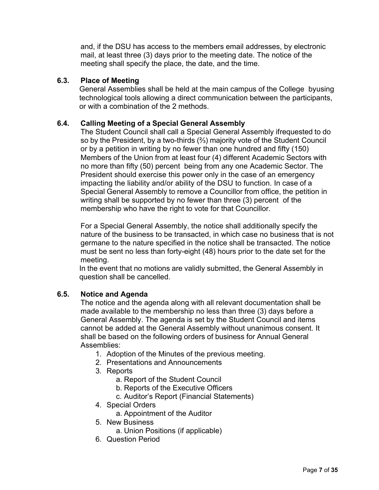and, if the DSU has access to the members email addresses, by electronic mail, at least three (3) days prior to the meeting date. The notice of the meeting shall specify the place, the date, and the time.

#### **6.3. Place of Meeting**

General Assemblies shall be held at the main campus of the College byusing technological tools allowing a direct communication between the participants, or with a combination of the 2 methods.

#### **6.4. Calling Meeting of a Special General Assembly**

The Student Council shall call a Special General Assembly ifrequested to do so by the President, by a two-thirds (⅔) majority vote of the Student Council or by a petition in writing by no fewer than one hundred and fifty (150) Members of the Union from at least four (4) different Academic Sectors with no more than fifty (50) percent being from any one Academic Sector. The President should exercise this power only in the case of an emergency impacting the liability and/or ability of the DSU to function. In case of a Special General Assembly to remove a Councillor from office, the petition in writing shall be supported by no fewer than three (3) percent of the membership who have the right to vote for that Councillor.

For a Special General Assembly, the notice shall additionally specify the nature of the business to be transacted, in which case no business that is not germane to the nature specified in the notice shall be transacted. The notice must be sent no less than forty-eight (48) hours prior to the date set for the meeting.

In the event that no motions are validly submitted, the General Assembly in question shall be cancelled.

#### **6.5. Notice and Agenda**

The notice and the agenda along with all relevant documentation shall be made available to the membership no less than three (3) days before a General Assembly. The agenda is set by the Student Council and items cannot be added at the General Assembly without unanimous consent. It shall be based on the following orders of business for Annual General Assemblies:

- 1. Adoption of the Minutes of the previous meeting.
- 2. Presentations and Announcements
- 3. Reports
	- a. Report of the Student Council
	- b. Reports of the Executive Officers
	- c. Auditor's Report (Financial Statements)
- 4. Special Orders
	- a. Appointment of the Auditor
- 5. New Business
	- a. Union Positions (if applicable)
- 6. Question Period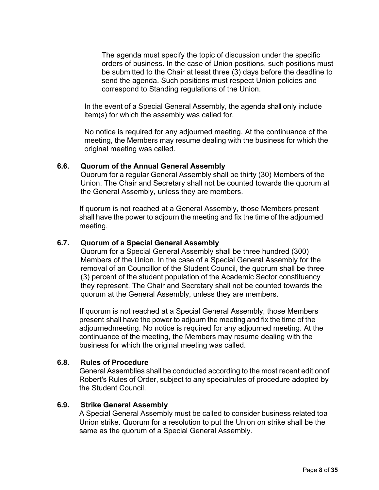The agenda must specify the topic of discussion under the specific orders of business. In the case of Union positions, such positions must be submitted to the Chair at least three (3) days before the deadline to send the agenda. Such positions must respect Union policies and correspond to Standing regulations of the Union.

In the event of a Special General Assembly, the agenda shall only include item(s) for which the assembly was called for.

No notice is required for any adjourned meeting. At the continuance of the meeting, the Members may resume dealing with the business for which the original meeting was called.

#### **6.6. Quorum of the Annual General Assembly**

Quorum for a regular General Assembly shall be thirty (30) Members of the Union. The Chair and Secretary shall not be counted towards the quorum at the General Assembly, unless they are members.

If quorum is not reached at a General Assembly, those Members present shall have the power to adjourn the meeting and fix the time of the adjourned meeting.

#### **6.7. Quorum of a Special General Assembly**

Quorum for a Special General Assembly shall be three hundred (300) Members of the Union. In the case of a Special General Assembly for the removal of an Councillor of the Student Council, the quorum shall be three (3) percent of the student population of the Academic Sector constituency they represent. The Chair and Secretary shall not be counted towards the quorum at the General Assembly, unless they are members.

If quorum is not reached at a Special General Assembly, those Members present shall have the power to adjourn the meeting and fix the time of the adjournedmeeting. No notice is required for any adjourned meeting. At the continuance of the meeting, the Members may resume dealing with the business for which the original meeting was called.

#### **6.8. Rules of Procedure**

General Assemblies shall be conducted according to the most recent editionof Robert's Rules of Order, subject to any specialrules of procedure adopted by the Student Council.

#### **6.9. Strike General Assembly**

A Special General Assembly must be called to consider business related toa Union strike. Quorum for a resolution to put the Union on strike shall be the same as the quorum of a Special General Assembly.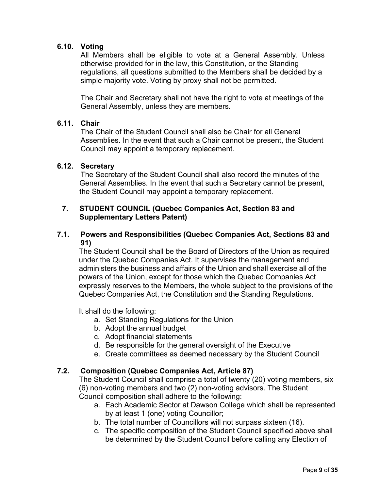## **6.10. Voting**

All Members shall be eligible to vote at a General Assembly. Unless otherwise provided for in the law, this Constitution, or the Standing regulations, all questions submitted to the Members shall be decided by a simple majority vote. Voting by proxy shall not be permitted.

The Chair and Secretary shall not have the right to vote at meetings of the General Assembly, unless they are members.

#### **6.11. Chair**

The Chair of the Student Council shall also be Chair for all General Assemblies. In the event that such a Chair cannot be present, the Student Council may appoint a temporary replacement.

#### **6.12. Secretary**

The Secretary of the Student Council shall also record the minutes of the General Assemblies. In the event that such a Secretary cannot be present, the Student Council may appoint a temporary replacement.

## <span id="page-9-0"></span>**7. STUDENT COUNCIL (Quebec Companies Act, Section 83 and Supplementary Letters Patent)**

#### **7.1. Powers and Responsibilities (Quebec Companies Act, Sections 83 and 91)**

The Student Council shall be the Board of Directors of the Union as required under the Quebec Companies Act. It supervises the management and administers the business and affairs of the Union and shall exercise all of the powers of the Union, except for those which the Quebec Companies Act expressly reserves to the Members, the whole subject to the provisions of the Quebec Companies Act, the Constitution and the Standing Regulations.

It shall do the following:

- a. Set Standing Regulations for the Union
- b. Adopt the annual budget
- c. Adopt financial statements
- d. Be responsible for the general oversight of the Executive
- e. Create committees as deemed necessary by the Student Council

#### **7.2. Composition (Quebec Companies Act, Article 87)**

The Student Council shall comprise a total of twenty (20) voting members, six (6) non-voting members and two (2) non-voting advisors. The Student Council composition shall adhere to the following:

- a. Each Academic Sector at Dawson College which shall be represented by at least 1 (one) voting Councillor;
- b. The total number of Councillors will not surpass sixteen (16).
- c. The specific composition of the Student Council specified above shall be determined by the Student Council before calling any Election of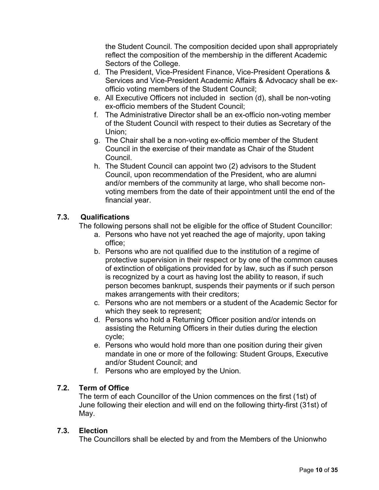the Student Council. The composition decided upon shall appropriately reflect the composition of the membership in the different Academic Sectors of the College.

- d. The President, Vice-President Finance, Vice-President Operations & Services and Vice-President Academic Affairs & Advocacy shall be exofficio voting members of the Student Council;
- e. All Executive Officers not included in section (d), shall be non-voting ex-officio members of the Student Council;
- f. The Administrative Director shall be an ex-officio non-voting member of the Student Council with respect to their duties as Secretary of the Union;
- g. The Chair shall be a non-voting ex-officio member of the Student Council in the exercise of their mandate as Chair of the Student Council.
- h. The Student Council can appoint two (2) advisors to the Student Council, upon recommendation of the President, who are alumni and/or members of the community at large, who shall become nonvoting members from the date of their appointment until the end of the financial year.

## **7.3. Qualifications**

The following persons shall not be eligible for the office of Student Councillor:

- a. Persons who have not yet reached the age of majority, upon taking office;
- b. Persons who are not qualified due to the institution of a regime of protective supervision in their respect or by one of the common causes of extinction of obligations provided for by law, such as if such person is recognized by a court as having lost the ability to reason, if such person becomes bankrupt, suspends their payments or if such person makes arrangements with their creditors;
- c. Persons who are not members or a student of the Academic Sector for which they seek to represent;
- d. Persons who hold a Returning Officer position and/or intends on assisting the Returning Officers in their duties during the election cycle;
- e. Persons who would hold more than one position during their given mandate in one or more of the following: Student Groups, Executive and/or Student Council; and
- f. Persons who are employed by the Union.

## **7.2. Term of Office**

The term of each Councillor of the Union commences on the first (1st) of June following their election and will end on the following thirty-first (31st) of May.

#### **7.3. Election**

The Councillors shall be elected by and from the Members of the Unionwho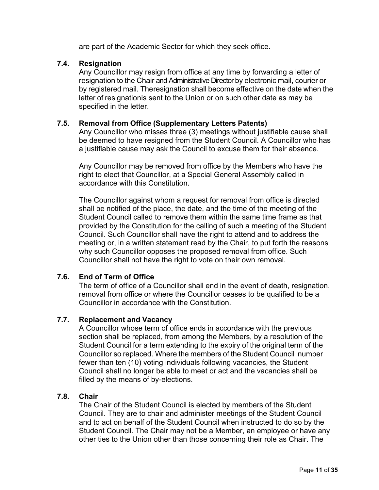are part of the Academic Sector for which they seek office.

#### **7.4. Resignation**

Any Councillor may resign from office at any time by forwarding a letter of resignation to the Chair and Administrative Director by electronic mail, courier or by registered mail. Theresignation shall become effective on the date when the letter of resignationis sent to the Union or on such other date as may be specified in the letter.

## **7.5. Removal from Office (Supplementary Letters Patents)**

Any Councillor who misses three (3) meetings without justifiable cause shall be deemed to have resigned from the Student Council. A Councillor who has a justifiable cause may ask the Council to excuse them for their absence.

Any Councillor may be removed from office by the Members who have the right to elect that Councillor, at a Special General Assembly called in accordance with this Constitution.

The Councillor against whom a request for removal from office is directed shall be notified of the place, the date, and the time of the meeting of the Student Council called to remove them within the same time frame as that provided by the Constitution for the calling of such a meeting of the Student Council. Such Councillor shall have the right to attend and to address the meeting or, in a written statement read by the Chair, to put forth the reasons why such Councillor opposes the proposed removal from office. Such Councillor shall not have the right to vote on their own removal.

## **7.6. End of Term of Office**

The term of office of a Councillor shall end in the event of death, resignation, removal from office or where the Councillor ceases to be qualified to be a Councillor in accordance with the Constitution.

#### **7.7. Replacement and Vacancy**

A Councillor whose term of office ends in accordance with the previous section shall be replaced, from among the Members, by a resolution of the Student Council for a term extending to the expiry of the original term of the Councillor so replaced. Where the members of the Student Council number fewer than ten (10) voting individuals following vacancies, the Student Council shall no longer be able to meet or act and the vacancies shall be filled by the means of by-elections.

## **7.8. Chair**

The Chair of the Student Council is elected by members of the Student Council. They are to chair and administer meetings of the Student Council and to act on behalf of the Student Council when instructed to do so by the Student Council. The Chair may not be a Member, an employee or have any other ties to the Union other than those concerning their role as Chair. The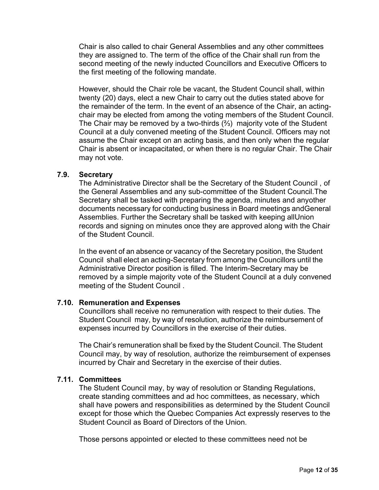Chair is also called to chair General Assemblies and any other committees they are assigned to. The term of the office of the Chair shall run from the second meeting of the newly inducted Councillors and Executive Officers to the first meeting of the following mandate.

However, should the Chair role be vacant, the Student Council shall, within twenty (20) days, elect a new Chair to carry out the duties stated above for the remainder of the term. In the event of an absence of the Chair, an actingchair may be elected from among the voting members of the Student Council. The Chair may be removed by a two-thirds (⅔) majority vote of the Student Council at a duly convened meeting of the Student Council. Officers may not assume the Chair except on an acting basis, and then only when the regular Chair is absent or incapacitated, or when there is no regular Chair. The Chair may not vote.

#### **7.9. Secretary**

The Administrative Director shall be the Secretary of the Student Council , of the General Assemblies and any sub-committee of the Student Council.The Secretary shall be tasked with preparing the agenda, minutes and anyother documents necessary for conducting business in Board meetings andGeneral Assemblies. Further the Secretary shall be tasked with keeping allUnion records and signing on minutes once they are approved along with the Chair of the Student Council.

In the event of an absence or vacancy of the Secretary position, the Student Council shall elect an acting-Secretary from among the Councillors until the Administrative Director position is filled. The Interim-Secretary may be removed by a simple majority vote of the Student Council at a duly convened meeting of the Student Council .

#### **7.10. Remuneration and Expenses**

Councillors shall receive no remuneration with respect to their duties. The Student Council may, by way of resolution, authorize the reimbursement of expenses incurred by Councillors in the exercise of their duties.

The Chair's remuneration shall be fixed by the Student Council. The Student Council may, by way of resolution, authorize the reimbursement of expenses incurred by Chair and Secretary in the exercise of their duties.

#### **7.11. Committees**

The Student Council may, by way of resolution or Standing Regulations, create standing committees and ad hoc committees, as necessary, which shall have powers and responsibilities as determined by the Student Council except for those which the Quebec Companies Act expressly reserves to the Student Council as Board of Directors of the Union.

Those persons appointed or elected to these committees need not be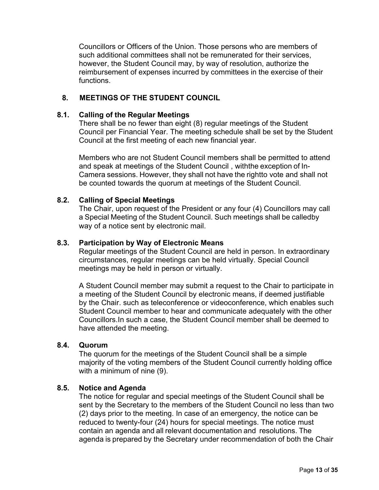Councillors or Officers of the Union. Those persons who are members of such additional committees shall not be remunerated for their services, however, the Student Council may, by way of resolution, authorize the reimbursement of expenses incurred by committees in the exercise of their functions.

#### **8. MEETINGS OF THE STUDENT COUNCIL**

#### <span id="page-13-0"></span>**8.1. Calling of the Regular Meetings**

There shall be no fewer than eight (8) regular meetings of the Student Council per Financial Year. The meeting schedule shall be set by the Student Council at the first meeting of each new financial year.

Members who are not Student Council members shall be permitted to attend and speak at meetings of the Student Council , withthe exception of In-Camera sessions. However, they shall not have the rightto vote and shall not be counted towards the quorum at meetings of the Student Council.

#### **8.2. Calling of Special Meetings**

The Chair, upon request of the President or any four (4) Councillors may call a Special Meeting of the Student Council. Such meetings shall be calledby way of a notice sent by electronic mail.

#### **8.3. Participation by Way of Electronic Means**

Regular meetings of the Student Council are held in person. In extraordinary circumstances, regular meetings can be held virtually. Special Council meetings may be held in person or virtually.

A Student Council member may submit a request to the Chair to participate in a meeting of the Student Council by electronic means, if deemed justifiable by the Chair. such as teleconference or videoconference, which enables such Student Council member to hear and communicate adequately with the other Councillors.In such a case, the Student Council member shall be deemed to have attended the meeting.

#### **8.4. Quorum**

The quorum for the meetings of the Student Council shall be a simple majority of the voting members of the Student Council currently holding office with a minimum of nine (9).

#### **8.5. Notice and Agenda**

The notice for regular and special meetings of the Student Council shall be sent by the Secretary to the members of the Student Council no less than two (2) days prior to the meeting. In case of an emergency, the notice can be reduced to twenty-four (24) hours for special meetings. The notice must contain an agenda and all relevant documentation and resolutions. The agenda is prepared by the Secretary under recommendation of both the Chair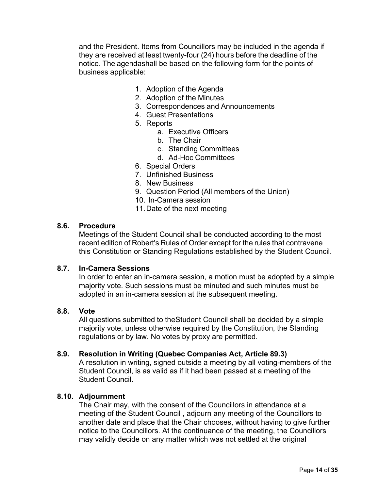and the President. Items from Councillors may be included in the agenda if they are received at least twenty-four (24) hours before the deadline of the notice. The agendashall be based on the following form for the points of business applicable:

- 1. Adoption of the Agenda
- 2. Adoption of the Minutes
- 3. Correspondences and Announcements
- 4. Guest Presentations
- 5. Reports
	- a. Executive Officers
	- b. The Chair
	- c. Standing Committees
	- d. Ad-Hoc Committees
- 6. Special Orders
- 7. Unfinished Business
- 8. New Business
- 9. Question Period (All members of the Union)
- 10. In-Camera session
- 11.Date of the next meeting

#### **8.6. Procedure**

Meetings of the Student Council shall be conducted according to the most recent edition of Robert's Rules of Order except for the rules that contravene this Constitution or Standing Regulations established by the Student Council.

#### **8.7. In-Camera Sessions**

In order to enter an in-camera session, a motion must be adopted by a simple majority vote. Such sessions must be minuted and such minutes must be adopted in an in-camera session at the subsequent meeting.

#### **8.8. Vote**

All questions submitted to theStudent Council shall be decided by a simple majority vote, unless otherwise required by the Constitution, the Standing regulations or by law. No votes by proxy are permitted.

#### **8.9. Resolution in Writing (Quebec Companies Act, Article 89.3)**

A resolution in writing, signed outside a meeting by all voting-members of the Student Council, is as valid as if it had been passed at a meeting of the Student Council.

#### **8.10. Adjournment**

The Chair may, with the consent of the Councillors in attendance at a meeting of the Student Council , adjourn any meeting of the Councillors to another date and place that the Chair chooses, without having to give further notice to the Councillors. At the continuance of the meeting, the Councillors may validly decide on any matter which was not settled at the original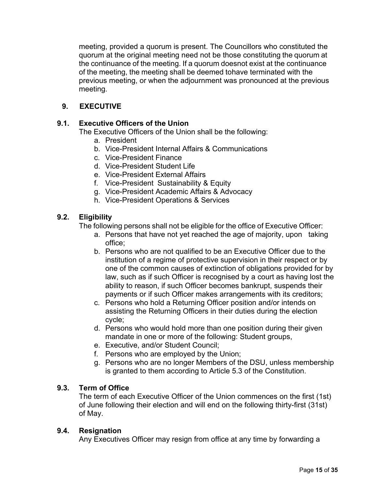meeting, provided a quorum is present. The Councillors who constituted the quorum at the original meeting need not be those constituting the quorum at the continuance of the meeting. If a quorum doesnot exist at the continuance of the meeting, the meeting shall be deemed tohave terminated with the previous meeting, or when the adjournment was pronounced at the previous meeting.

## **9. EXECUTIVE**

## <span id="page-15-0"></span>**9.1. Executive Officers of the Union**

The Executive Officers of the Union shall be the following:

- a. President
- b. Vice-President Internal Affairs & Communications
- c. Vice-President Finance
- d. Vice-President Student Life
- e. Vice-President External Affairs
- f. Vice-President Sustainability & Equity
- g. Vice-President Academic Affairs & Advocacy
- h. Vice-President Operations & Services

## **9.2. Eligibility**

The following persons shall not be eligible for the office of Executive Officer:

- a. Persons that have not yet reached the age of majority, upon taking office;
- b. Persons who are not qualified to be an Executive Officer due to the institution of a regime of protective supervision in their respect or by one of the common causes of extinction of obligations provided for by law, such as if such Officer is recognised by a court as having lost the ability to reason, if such Officer becomes bankrupt, suspends their payments or if such Officer makes arrangements with its creditors;
- c. Persons who hold a Returning Officer position and/or intends on assisting the Returning Officers in their duties during the election cycle;
- d. Persons who would hold more than one position during their given mandate in one or more of the following: Student groups,
- e. Executive, and/or Student Council;
- f. Persons who are employed by the Union;
- g. Persons who are no longer Members of the DSU, unless membership is granted to them according to Article 5.3 of the Constitution.

#### **9.3. Term of Office**

The term of each Executive Officer of the Union commences on the first (1st) of June following their election and will end on the following thirty-first (31st) of May.

#### **9.4. Resignation**

Any Executives Officer may resign from office at any time by forwarding a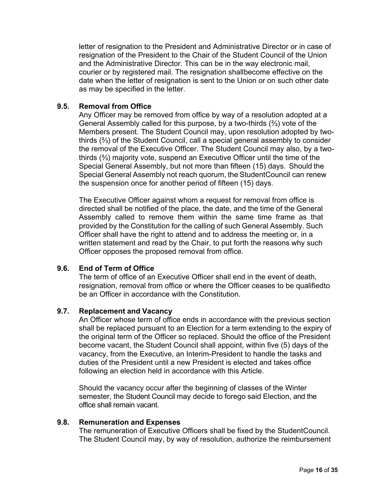letter of resignation to the President and Administrative Director or in case of resignation of the President to the Chair of the Student Council of the Union and the Administrative Director. This can be in the way electronic mail, courier or by registered mail. The resignation shallbecome effective on the date when the letter of resignation is sent to the Union or on such other date as may be specified in the letter.

#### **9.5. Removal from Office**

Any Officer may be removed from office by way of a resolution adopted at a General Assembly called for this purpose, by a two-thirds (⅔) vote of the Members present. The Student Council may, upon resolution adopted by twothirds (⅔) of the Student Council, call a special general assembly to consider the removal of the Executive Officer. The Student Council may also, by a twothirds (⅔) majority vote, suspend an Executive Officer until the time of the Special General Assembly, but not more than fifteen (15) days. Should the Special General Assembly not reach quorum, the StudentCouncil can renew the suspension once for another period of fifteen (15) days.

The Executive Officer against whom a request for removal from office is directed shall be notified of the place, the date, and the time of the General Assembly called to remove them within the same time frame as that provided by the Constitution for the calling of such General Assembly. Such Officer shall have the right to attend and to address the meeting or, in a written statement and read by the Chair, to put forth the reasons why such Officer opposes the proposed removal from office.

#### **9.6. End of Term of Office**

The term of office of an Executive Officer shall end in the event of death, resignation, removal from office or where the Officer ceases to be qualifiedto be an Officer in accordance with the Constitution.

#### **9.7. Replacement and Vacancy**

An Officer whose term of office ends in accordance with the previous section shall be replaced pursuant to an Election for a term extending to the expiry of the original term of the Officer so replaced. Should the office of the President become vacant, the Student Council shall appoint, within five (5) days of the vacancy, from the Executive, an Interim-President to handle the tasks and duties of the President until a new President is elected and takes office following an election held in accordance with this Article.

Should the vacancy occur after the beginning of classes of the Winter semester, the Student Council may decide to forego said Election, and the office shall remain vacant.

#### **9.8. Remuneration and Expenses**

The remuneration of Executive Officers shall be fixed by the StudentCouncil. The Student Council may, by way of resolution, authorize the reimbursement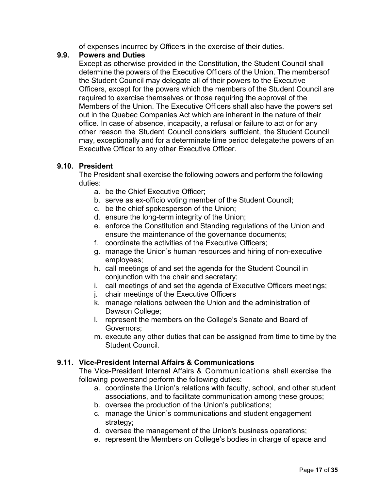of expenses incurred by Officers in the exercise of their duties.

## **9.9. Powers and Duties**

Except as otherwise provided in the Constitution, the Student Council shall determine the powers of the Executive Officers of the Union. The membersof the Student Council may delegate all of their powers to the Executive Officers, except for the powers which the members of the Student Council are required to exercise themselves or those requiring the approval of the Members of the Union. The Executive Officers shall also have the powers set out in the Quebec Companies Act which are inherent in the nature of their office. In case of absence, incapacity, a refusal or failure to act or for any other reason the Student Council considers sufficient, the Student Council may, exceptionally and for a determinate time period delegatethe powers of an Executive Officer to any other Executive Officer.

## **9.10. President**

The President shall exercise the following powers and perform the following duties:

- a. be the Chief Executive Officer;
- b. serve as ex-officio voting member of the Student Council;
- c. be the chief spokesperson of the Union;
- d. ensure the long-term integrity of the Union;
- e. enforce the Constitution and Standing regulations of the Union and ensure the maintenance of the governance documents;
- f. coordinate the activities of the Executive Officers;
- g. manage the Union's human resources and hiring of non-executive employees;
- h. call meetings of and set the agenda for the Student Council in conjunction with the chair and secretary;
- i. call meetings of and set the agenda of Executive Officers meetings;
- j. chair meetings of the Executive Officers
- k. manage relations between the Union and the administration of Dawson College;
- l. represent the members on the College's Senate and Board of Governors;
- m. execute any other duties that can be assigned from time to time by the Student Council.

#### **9.11. Vice-President Internal Affairs & Communications**

The Vice-President Internal Affairs & Communications shall exercise the following powersand perform the following duties:

- a. coordinate the Union's relations with faculty, school, and other student associations, and to facilitate communication among these groups;
- b. oversee the production of the Union's publications;
- c. manage the Union's communications and student engagement strategy;
- d. oversee the management of the Union's business operations;
- e. represent the Members on College's bodies in charge of space and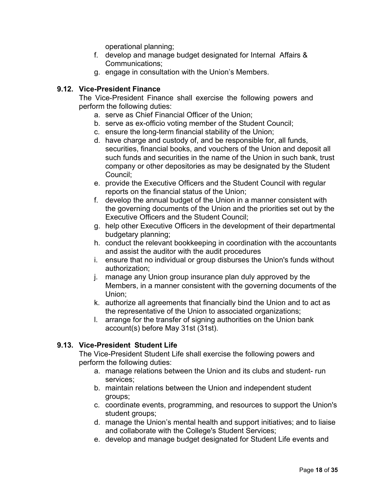operational planning;

- f. develop and manage budget designated for Internal Affairs & Communications;
- g. engage in consultation with the Union's Members.

## **9.12. Vice-President Finance**

The Vice-President Finance shall exercise the following powers and perform the following duties:

- a. serve as Chief Financial Officer of the Union;
- b. serve as ex-officio voting member of the Student Council;
- c. ensure the long-term financial stability of the Union;
- d. have charge and custody of, and be responsible for, all funds, securities, financial books, and vouchers of the Union and deposit all such funds and securities in the name of the Union in such bank, trust company or other depositories as may be designated by the Student Council;
- e. provide the Executive Officers and the Student Council with regular reports on the financial status of the Union;
- f. develop the annual budget of the Union in a manner consistent with the governing documents of the Union and the priorities set out by the Executive Officers and the Student Council;
- g. help other Executive Officers in the development of their departmental budgetary planning;
- h. conduct the relevant bookkeeping in coordination with the accountants and assist the auditor with the audit procedures
- i. ensure that no individual or group disburses the Union's funds without authorization;
- j. manage any Union group insurance plan duly approved by the Members, in a manner consistent with the governing documents of the Union;
- k. authorize all agreements that financially bind the Union and to act as the representative of the Union to associated organizations;
- l. arrange for the transfer of signing authorities on the Union bank account(s) before May 31st (31st).

## **9.13. Vice-President Student Life**

The Vice-President Student Life shall exercise the following powers and perform the following duties:

- a. manage relations between the Union and its clubs and student- run services;
- b. maintain relations between the Union and independent student groups;
- c. coordinate events, programming, and resources to support the Union's student groups;
- d. manage the Union's mental health and support initiatives; and to liaise and collaborate with the College's Student Services;
- e. develop and manage budget designated for Student Life events and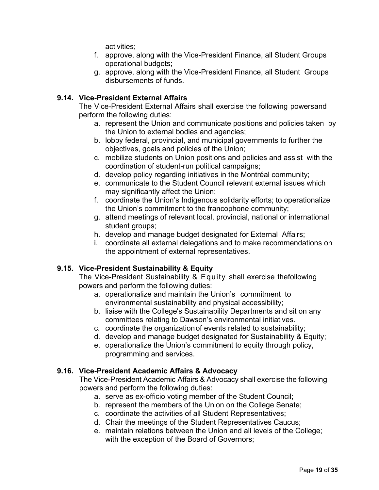activities;

- f. approve, along with the Vice-President Finance, all Student Groups operational budgets;
- g. approve, along with the Vice-President Finance, all Student Groups disbursements of funds.

## **9.14. Vice-President External Affairs**

The Vice-President External Affairs shall exercise the following powersand perform the following duties:

- a. represent the Union and communicate positions and policies taken by the Union to external bodies and agencies;
- b. lobby federal, provincial, and municipal governments to further the objectives, goals and policies of the Union;
- c. mobilize students on Union positions and policies and assist with the coordination of student-run political campaigns;
- d. develop policy regarding initiatives in the Montréal community;
- e. communicate to the Student Council relevant external issues which may significantly affect the Union;
- f. coordinate the Union's Indigenous solidarity efforts; to operationalize the Union's commitment to the francophone community;
- g. attend meetings of relevant local, provincial, national or international student groups;
- h. develop and manage budget designated for External Affairs;
- i. coordinate all external delegations and to make recommendations on the appointment of external representatives.

#### **9.15. Vice-President Sustainability & Equity**

The Vice-President Sustainability & Equity shall exercise thefollowing powers and perform the following duties:

- a. operationalize and maintain the Union's commitment to environmental sustainability and physical accessibility;
- b. liaise with the College's Sustainability Departments and sit on any committees relating to Dawson's environmental initiatives.
- c. coordinate the organizationof events related to sustainability;
- d. develop and manage budget designated for Sustainability & Equity;
- e. operationalize the Union's commitment to equity through policy, programming and services.

#### **9.16. Vice-President Academic Affairs & Advocacy**

The Vice-President Academic Affairs & Advocacy shall exercise the following powers and perform the following duties:

- a. serve as ex-officio voting member of the Student Council;
- b. represent the members of the Union on the College Senate;
- c. coordinate the activities of all Student Representatives;
- d. Chair the meetings of the Student Representatives Caucus;
- e. maintain relations between the Union and all levels of the College; with the exception of the Board of Governors;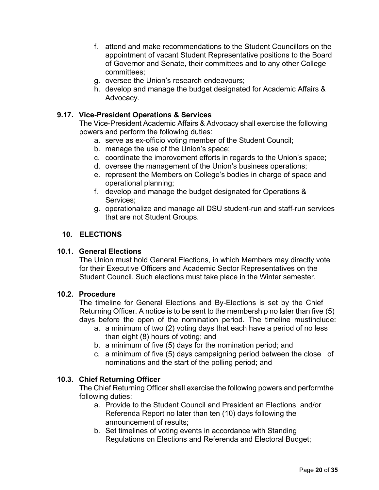- f. attend and make recommendations to the Student Councillors on the appointment of vacant Student Representative positions to the Board of Governor and Senate, their committees and to any other College committees;
- g. oversee the Union's research endeavours;
- h. develop and manage the budget designated for Academic Affairs & Advocacy.

## **9.17. Vice-President Operations & Services**

The Vice-President Academic Affairs & Advocacy shall exercise the following powers and perform the following duties:

- a. serve as ex-officio voting member of the Student Council;
- b. manage the use of the Union's space;
- c. coordinate the improvement efforts in regards to the Union's space;
- d. oversee the management of the Union's business operations;
- e. represent the Members on College's bodies in charge of space and operational planning;
- f. develop and manage the budget designated for Operations & Services;
- g. operationalize and manage all DSU student-run and staff-run services that are not Student Groups.

## **10. ELECTIONS**

## <span id="page-20-0"></span>**10.1. General Elections**

The Union must hold General Elections, in which Members may directly vote for their Executive Officers and Academic Sector Representatives on the Student Council. Such elections must take place in the Winter semester.

## **10.2. Procedure**

The timeline for General Elections and By-Elections is set by the Chief Returning Officer. A notice is to be sent to the membership no later than five (5) days before the open of the nomination period. The timeline mustinclude:

- a. a minimum of two (2) voting days that each have a period of no less than eight (8) hours of voting; and
- b. a minimum of five (5) days for the nomination period; and
- c. a minimum of five (5) days campaigning period between the close of nominations and the start of the polling period; and

#### **10.3. Chief Returning Officer**

The Chief Returning Officer shall exercise the following powers and performthe following duties:

- a. Provide to the Student Council and President an Elections and/or Referenda Report no later than ten (10) days following the announcement of results;
- b. Set timelines of voting events in accordance with Standing Regulations on Elections and Referenda and Electoral Budget;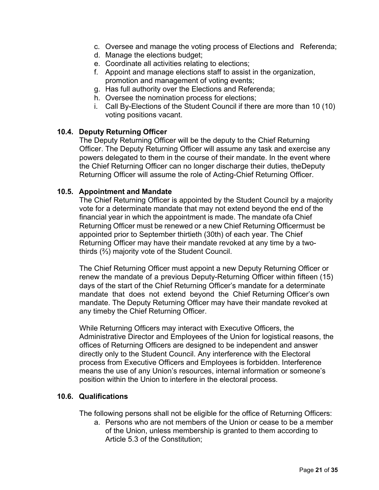- c. Oversee and manage the voting process of Elections and Referenda;
- d. Manage the elections budget;
- e. Coordinate all activities relating to elections;
- f. Appoint and manage elections staff to assist in the organization, promotion and management of voting events;
- g. Has full authority over the Elections and Referenda;
- h. Oversee the nomination process for elections;
- i. Call By-Elections of the Student Council if there are more than 10 (10) voting positions vacant.

#### **10.4. Deputy Returning Officer**

The Deputy Returning Officer will be the deputy to the Chief Returning Officer. The Deputy Returning Officer will assume any task and exercise any powers delegated to them in the course of their mandate. In the event where the Chief Returning Officer can no longer discharge their duties, theDeputy Returning Officer will assume the role of Acting-Chief Returning Officer.

#### **10.5. Appointment and Mandate**

The Chief Returning Officer is appointed by the Student Council by a majority vote for a determinate mandate that may not extend beyond the end of the financial year in which the appointment is made. The mandate ofa Chief Returning Officer must be renewed or a new Chief Returning Officermust be appointed prior to September thirtieth (30th) of each year. The Chief Returning Officer may have their mandate revoked at any time by a twothirds (⅔) majority vote of the Student Council.

The Chief Returning Officer must appoint a new Deputy Returning Officer or renew the mandate of a previous Deputy-Returning Officer within fifteen (15) days of the start of the Chief Returning Officer's mandate for a determinate mandate that does not extend beyond the Chief Returning Officer's own mandate. The Deputy Returning Officer may have their mandate revoked at any timeby the Chief Returning Officer.

While Returning Officers may interact with Executive Officers, the Administrative Director and Employees of the Union for logistical reasons, the offices of Returning Officers are designed to be independent and answer directly only to the Student Council. Any interference with the Electoral process from Executive Officers and Employees is forbidden. Interference means the use of any Union's resources, internal information or someone's position within the Union to interfere in the electoral process.

## **10.6. Qualifications**

The following persons shall not be eligible for the office of Returning Officers:

a. Persons who are not members of the Union or cease to be a member of the Union, unless membership is granted to them according to Article 5.3 of the Constitution;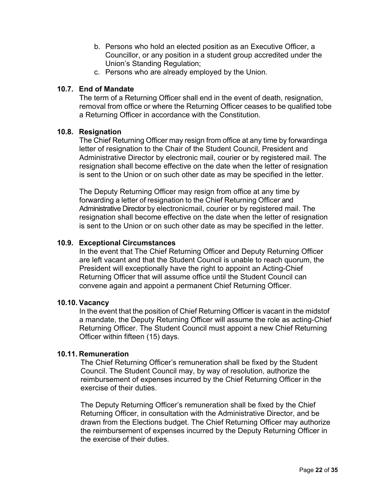- b. Persons who hold an elected position as an Executive Officer, a Councillor, or any position in a student group accredited under the Union's Standing Regulation;
- c. Persons who are already employed by the Union.

#### **10.7. End of Mandate**

The term of a Returning Officer shall end in the event of death, resignation, removal from office or where the Returning Officer ceases to be qualified tobe a Returning Officer in accordance with the Constitution.

#### **10.8. Resignation**

The Chief Returning Officer may resign from office at any time by forwardinga letter of resignation to the Chair of the Student Council, President and Administrative Director by electronic mail, courier or by registered mail. The resignation shall become effective on the date when the letter of resignation is sent to the Union or on such other date as may be specified in the letter.

The Deputy Returning Officer may resign from office at any time by forwarding a letter of resignation to the Chief Returning Officer and Administrative Director by electronicmail, courier or by registered mail. The resignation shall become effective on the date when the letter of resignation is sent to the Union or on such other date as may be specified in the letter.

## **10.9. Exceptional Circumstances**

In the event that The Chief Returning Officer and Deputy Returning Officer are left vacant and that the Student Council is unable to reach quorum, the President will exceptionally have the right to appoint an Acting-Chief Returning Officer that will assume office until the Student Council can convene again and appoint a permanent Chief Returning Officer.

#### **10.10. Vacancy**

In the event that the position of Chief Returning Officer is vacant in the midstof a mandate, the Deputy Returning Officer will assume the role as acting-Chief Returning Officer. The Student Council must appoint a new Chief Returning Officer within fifteen (15) days.

#### **10.11. Remuneration**

The Chief Returning Officer's remuneration shall be fixed by the Student Council. The Student Council may, by way of resolution, authorize the reimbursement of expenses incurred by the Chief Returning Officer in the exercise of their duties.

The Deputy Returning Officer's remuneration shall be fixed by the Chief Returning Officer, in consultation with the Administrative Director, and be drawn from the Elections budget. The Chief Returning Officer may authorize the reimbursement of expenses incurred by the Deputy Returning Officer in the exercise of their duties.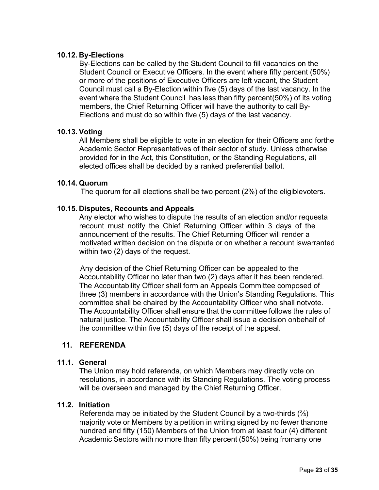## **10.12. By-Elections**

By-Elections can be called by the Student Council to fill vacancies on the Student Council or Executive Officers. In the event where fifty percent (50%) or more of the positions of Executive Officers are left vacant, the Student Council must call a By-Election within five (5) days of the last vacancy. In the event where the Student Council has less than fifty percent(50%) of its voting members, the Chief Returning Officer will have the authority to call By-Elections and must do so within five (5) days of the last vacancy.

#### **10.13. Voting**

All Members shall be eligible to vote in an election for their Officers and forthe Academic Sector Representatives of their sector of study. Unless otherwise provided for in the Act, this Constitution, or the Standing Regulations, all elected offices shall be decided by a ranked preferential ballot.

#### **10.14. Quorum**

The quorum for all elections shall be two percent (2%) of the eligiblevoters.

#### **10.15. Disputes, Recounts and Appeals**

Any elector who wishes to dispute the results of an election and/or requesta recount must notify the Chief Returning Officer within 3 days of the announcement of the results. The Chief Returning Officer will render a motivated written decision on the dispute or on whether a recount iswarranted within two (2) days of the request.

Any decision of the Chief Returning Officer can be appealed to the Accountability Officer no later than two (2) days after it has been rendered. The Accountability Officer shall form an Appeals Committee composed of three (3) members in accordance with the Union's Standing Regulations. This committee shall be chaired by the Accountability Officer who shall notvote. The Accountability Officer shall ensure that the committee follows the rules of natural justice. The Accountability Officer shall issue a decision onbehalf of the committee within five (5) days of the receipt of the appeal.

#### **11. REFERENDA**

#### <span id="page-23-0"></span>**11.1. General**

The Union may hold referenda, on which Members may directly vote on resolutions, in accordance with its Standing Regulations. The voting process will be overseen and managed by the Chief Returning Officer.

## **11.2. Initiation**

Referenda may be initiated by the Student Council by a two-thirds (⅔) majority vote or Members by a petition in writing signed by no fewer thanone hundred and fifty (150) Members of the Union from at least four (4) different Academic Sectors with no more than fifty percent (50%) being fromany one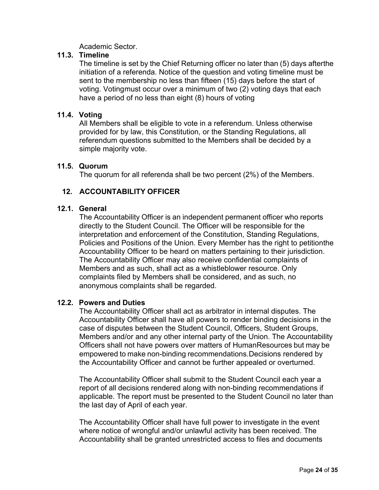Academic Sector.

## **11.3. Timeline**

The timeline is set by the Chief Returning officer no later than (5) days afterthe initiation of a referenda. Notice of the question and voting timeline must be sent to the membership no less than fifteen (15) days before the start of voting. Votingmust occur over a minimum of two (2) voting days that each have a period of no less than eight (8) hours of voting

#### **11.4. Voting**

All Members shall be eligible to vote in a referendum. Unless otherwise provided for by law, this Constitution, or the Standing Regulations, all referendum questions submitted to the Members shall be decided by a simple majority vote.

#### **11.5. Quorum**

The quorum for all referenda shall be two percent (2%) of the Members.

## **12. ACCOUNTABILITY OFFICER**

#### <span id="page-24-0"></span>**12.1. General**

The Accountability Officer is an independent permanent officer who reports directly to the Student Council. The Officer will be responsible for the interpretation and enforcement of the Constitution, Standing Regulations, Policies and Positions of the Union. Every Member has the right to petitionthe Accountability Officer to be heard on matters pertaining to their jurisdiction. The Accountability Officer may also receive confidential complaints of Members and as such, shall act as a whistleblower resource. Only complaints filed by Members shall be considered, and as such, no anonymous complaints shall be regarded.

#### **12.2. Powers and Duties**

The Accountability Officer shall act as arbitrator in internal disputes. The Accountability Officer shall have all powers to render binding decisions in the case of disputes between the Student Council, Officers, Student Groups, Members and/or and any other internal party of the Union. The Accountability Officers shall not have powers over matters of HumanResources but may be empowered to make non-binding recommendations.Decisions rendered by the Accountability Officer and cannot be further appealed or overturned.

The Accountability Officer shall submit to the Student Council each year a report of all decisions rendered along with non-binding recommendations if applicable. The report must be presented to the Student Council no later than the last day of April of each year.

The Accountability Officer shall have full power to investigate in the event where notice of wrongful and/or unlawful activity has been received. The Accountability shall be granted unrestricted access to files and documents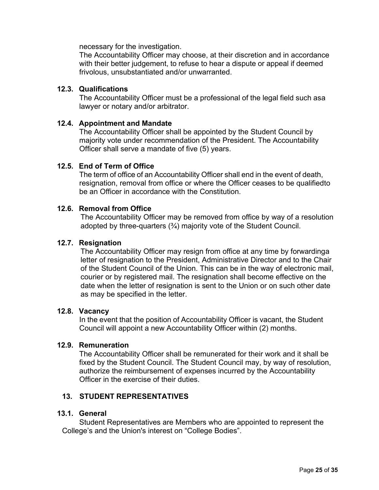necessary for the investigation.

The Accountability Officer may choose, at their discretion and in accordance with their better judgement, to refuse to hear a dispute or appeal if deemed frivolous, unsubstantiated and/or unwarranted.

#### **12.3. Qualifications**

The Accountability Officer must be a professional of the legal field such asa lawyer or notary and/or arbitrator.

#### **12.4. Appointment and Mandate**

The Accountability Officer shall be appointed by the Student Council by majority vote under recommendation of the President. The Accountability Officer shall serve a mandate of five (5) years.

#### **12.5. End of Term of Office**

The term of office of an Accountability Officer shall end in the event of death, resignation, removal from office or where the Officer ceases to be qualifiedto be an Officer in accordance with the Constitution.

#### **12.6. Removal from Office**

The Accountability Officer may be removed from office by way of a resolution adopted by three-quarters  $(3/4)$  majority vote of the Student Council.

#### **12.7. Resignation**

The Accountability Officer may resign from office at any time by forwardinga letter of resignation to the President, Administrative Director and to the Chair of the Student Council of the Union. This can be in the way of electronic mail, courier or by registered mail. The resignation shall become effective on the date when the letter of resignation is sent to the Union or on such other date as may be specified in the letter.

### **12.8. Vacancy**

In the event that the position of Accountability Officer is vacant, the Student Council will appoint a new Accountability Officer within (2) months.

#### **12.9. Remuneration**

The Accountability Officer shall be remunerated for their work and it shall be fixed by the Student Council. The Student Council may, by way of resolution, authorize the reimbursement of expenses incurred by the Accountability Officer in the exercise of their duties.

#### **13. STUDENT REPRESENTATIVES**

#### <span id="page-25-0"></span>**13.1. General**

Student Representatives are Members who are appointed to represent the College's and the Union's interest on "College Bodies".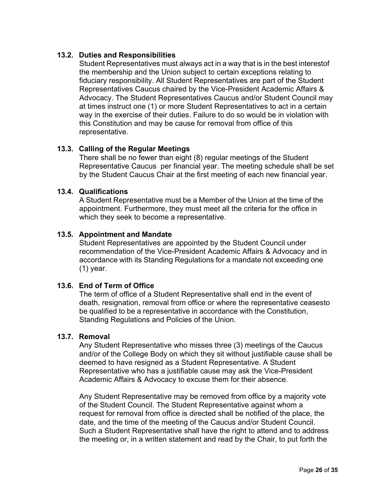## **13.2. Duties and Responsibilities**

Student Representatives must always act in a way that is in the best interestof the membership and the Union subject to certain exceptions relating to fiduciary responsibility. All Student Representatives are part of the Student Representatives Caucus chaired by the Vice-President Academic Affairs & Advocacy. The Student Representatives Caucus and/or Student Council may at times instruct one (1) or more Student Representatives to act in a certain way in the exercise of their duties. Failure to do so would be in violation with this Constitution and may be cause for removal from office of this representative.

#### **13.3. Calling of the Regular Meetings**

There shall be no fewer than eight (8) regular meetings of the Student Representative Caucus per financial year. The meeting schedule shall be set by the Student Caucus Chair at the first meeting of each new financial year.

#### **13.4. Qualifications**

A Student Representative must be a Member of the Union at the time of the appointment. Furthermore, they must meet all the criteria for the office in which they seek to become a representative.

## **13.5. Appointment and Mandate**

Student Representatives are appointed by the Student Council under recommendation of the Vice-President Academic Affairs & Advocacy and in accordance with its Standing Regulations for a mandate not exceeding one (1) year.

#### **13.6. End of Term of Office**

The term of office of a Student Representative shall end in the event of death, resignation, removal from office or where the representative ceasesto be qualified to be a representative in accordance with the Constitution, Standing Regulations and Policies of the Union.

#### **13.7. Removal**

Any Student Representative who misses three (3) meetings of the Caucus and/or of the College Body on which they sit without justifiable cause shall be deemed to have resigned as a Student Representative. A Student Representative who has a justifiable cause may ask the Vice-President Academic Affairs & Advocacy to excuse them for their absence.

Any Student Representative may be removed from office by a majority vote of the Student Council. The Student Representative against whom a request for removal from office is directed shall be notified of the place, the date, and the time of the meeting of the Caucus and/or Student Council. Such a Student Representative shall have the right to attend and to address the meeting or, in a written statement and read by the Chair, to put forth the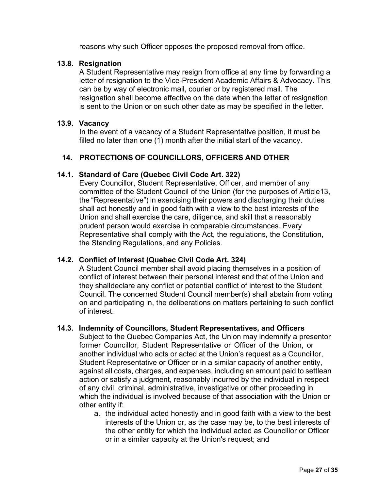reasons why such Officer opposes the proposed removal from office.

#### **13.8. Resignation**

A Student Representative may resign from office at any time by forwarding a letter of resignation to the Vice-President Academic Affairs & Advocacy. This can be by way of electronic mail, courier or by registered mail. The resignation shall become effective on the date when the letter of resignation is sent to the Union or on such other date as may be specified in the letter.

#### **13.9. Vacancy**

In the event of a vacancy of a Student Representative position, it must be filled no later than one (1) month after the initial start of the vacancy.

## **14. PROTECTIONS OF COUNCILLORS, OFFICERS AND OTHER**

#### <span id="page-27-0"></span>**14.1. Standard of Care (Quebec Civil Code Art. 322)**

Every Councillor, Student Representative, Officer, and member of any committee of the Student Council of the Union (for the purposes of Article13, the "Representative") in exercising their powers and discharging their duties shall act honestly and in good faith with a view to the best interests of the Union and shall exercise the care, diligence, and skill that a reasonably prudent person would exercise in comparable circumstances. Every Representative shall comply with the Act, the regulations, the Constitution, the Standing Regulations, and any Policies.

#### **14.2. Conflict of Interest (Quebec Civil Code Art. 324)**

A Student Council member shall avoid placing themselves in a position of conflict of interest between their personal interest and that of the Union and they shall declare any conflict or potential conflict of interest to the Student Council. The concerned Student Council member(s) shall abstain from voting on and participating in, the deliberations on matters pertaining to such conflict of interest.

#### **14.3. Indemnity of Councillors, Student Representatives, and Officers**

Subject to the Quebec Companies Act, the Union may indemnify a presentor former Councillor, Student Representative or Officer of the Union, or another individual who acts or acted at the Union's request as a Councillor, Student Representative or Officer or in a similar capacity of another entity, against all costs, charges, and expenses, including an amount paid to settlean action or satisfy a judgment, reasonably incurred by the individual in respect of any civil, criminal, administrative, investigative or other proceeding in which the individual is involved because of that association with the Union or other entity if:

a. the individual acted honestly and in good faith with a view to the best interests of the Union or, as the case may be, to the best interests of the other entity for which the individual acted as Councillor or Officer or in a similar capacity at the Union's request; and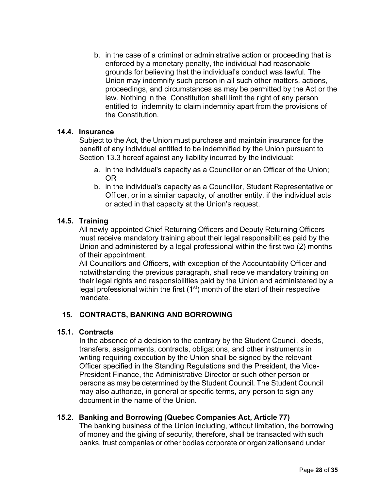b. in the case of a criminal or administrative action or proceeding that is enforced by a monetary penalty, the individual had reasonable grounds for believing that the individual's conduct was lawful. The Union may indemnify such person in all such other matters, actions, proceedings, and circumstances as may be permitted by the Act or the law. Nothing in the Constitution shall limit the right of any person entitled to indemnity to claim indemnity apart from the provisions of the Constitution.

#### **14.4. Insurance**

Subject to the Act, the Union must purchase and maintain insurance for the benefit of any individual entitled to be indemnified by the Union pursuant to Section 13.3 hereof against any liability incurred by the individual:

- a. in the individual's capacity as a Councillor or an Officer of the Union; OR
- b. in the individual's capacity as a Councillor, Student Representative or Officer, or in a similar capacity, of another entity, if the individual acts or acted in that capacity at the Union's request.

#### **14.5. Training**

All newly appointed Chief Returning Officers and Deputy Returning Officers must receive mandatory training about their legal responsibilities paid by the Union and administered by a legal professional within the first two (2) months of their appointment.

All Councillors and Officers, with exception of the Accountability Officer and notwithstanding the previous paragraph, shall receive mandatory training on their legal rights and responsibilities paid by the Union and administered by a legal professional within the first  $(1<sup>st</sup>)$  month of the start of their respective mandate.

#### **15. CONTRACTS, BANKING AND BORROWING**

#### <span id="page-28-0"></span>**15.1. Contracts**

In the absence of a decision to the contrary by the Student Council, deeds, transfers, assignments, contracts, obligations, and other instruments in writing requiring execution by the Union shall be signed by the relevant Officer specified in the Standing Regulations and the President, the Vice-President Finance, the Administrative Director or such other person or persons as may be determined by the Student Council. The Student Council may also authorize, in general or specific terms, any person to sign any document in the name of the Union.

#### **15.2. Banking and Borrowing (Quebec Companies Act, Article 77)**

The banking business of the Union including, without limitation, the borrowing of money and the giving of security, therefore, shall be transacted with such banks, trust companies or other bodies corporate or organizationsand under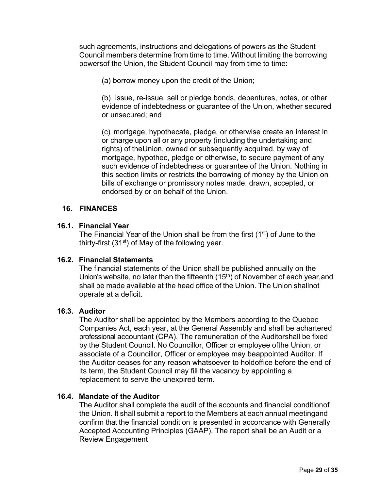such agreements, instructions and delegations of powers as the Student Council members determine from time to time. Without limiting the borrowing powersof the Union, the Student Council may from time to time:

(a) borrow money upon the credit of the Union;

(b) issue, re-issue, sell or pledge bonds, debentures, notes, or other evidence of indebtedness or guarantee of the Union, whether secured or unsecured; and

(c) mortgage, hypothecate, pledge, or otherwise create an interest in or charge upon all or any property (including the undertaking and rights) of theUnion, owned or subsequently acquired, by way of mortgage, hypothec, pledge or otherwise, to secure payment of any such evidence of indebtedness or guarantee of the Union. Nothing in this section limits or restricts the borrowing of money by the Union on bills of exchange or promissory notes made, drawn, accepted, or endorsed by or on behalf of the Union.

#### **16. FINANCES**

## <span id="page-29-0"></span>**16.1. Financial Year**

The Financial Year of the Union shall be from the first  $(1<sup>st</sup>)$  of June to the thirty-first  $(31<sup>st</sup>)$  of May of the following year.

#### **16.2. Financial Statements**

The financial statements of the Union shall be published annually on the Union's website, no later than the fifteenth  $(15<sup>th</sup>)$  of November of each year, and shall be made available at the head office of the Union. The Union shallnot operate at a deficit.

#### **16.3. Auditor**

The Auditor shall be appointed by the Members according to the Quebec Companies Act, each year, at the General Assembly and shall be achartered professional accountant (CPA). The remuneration of the Auditorshall be fixed by the Student Council. No Councillor, Officer or employee ofthe Union, or associate of a Councillor, Officer or employee may beappointed Auditor. If the Auditor ceases for any reason whatsoever to holdoffice before the end of its term, the Student Council may fill the vacancy by appointing a replacement to serve the unexpired term.

#### **16.4. Mandate of the Auditor**

The Auditor shall complete the audit of the accounts and financial conditionof the Union. It shall submit a report to the Members at each annual meetingand confirm that the financial condition is presented in accordance with Generally Accepted Accounting Principles (GAAP). The report shall be an Audit or a Review Engagement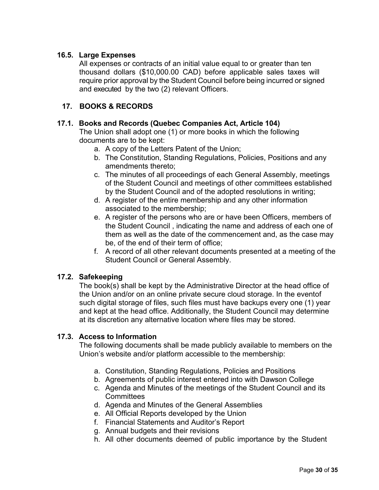## **16.5. Large Expenses**

All expenses or contracts of an initial value equal to or greater than ten thousand dollars (\$10,000.00 CAD) before applicable sales taxes will require prior approval by the Student Council before being incurred or signed and executed by the two (2) relevant Officers.

## **17. BOOKS & RECORDS**

#### <span id="page-30-0"></span>**17.1. Books and Records (Quebec Companies Act, Article 104)**

The Union shall adopt one (1) or more books in which the following documents are to be kept:

- a. A copy of the Letters Patent of the Union;
- b. The Constitution, Standing Regulations, Policies, Positions and any amendments thereto;
- c. The minutes of all proceedings of each General Assembly, meetings of the Student Council and meetings of other committees established by the Student Council and of the adopted resolutions in writing;
- d. A register of the entire membership and any other information associated to the membership;
- e. A register of the persons who are or have been Officers, members of the Student Council , indicating the name and address of each one of them as well as the date of the commencement and, as the case may be, of the end of their term of office;
- f. A record of all other relevant documents presented at a meeting of the Student Council or General Assembly.

#### **17.2. Safekeeping**

The book(s) shall be kept by the Administrative Director at the head office of the Union and/or on an online private secure cloud storage. In the eventof such digital storage of files, such files must have backups every one (1) year and kept at the head office. Additionally, the Student Council may determine at its discretion any alternative location where files may be stored.

#### **17.3. Access to Information**

The following documents shall be made publicly available to members on the Union's website and/or platform accessible to the membership:

- a. Constitution, Standing Regulations, Policies and Positions
- b. Agreements of public interest entered into with Dawson College
- c. Agenda and Minutes of the meetings of the Student Council and its **Committees**
- d. Agenda and Minutes of the General Assemblies
- e. All Official Reports developed by the Union
- f. Financial Statements and Auditor's Report
- g. Annual budgets and their revisions
- h. All other documents deemed of public importance by the Student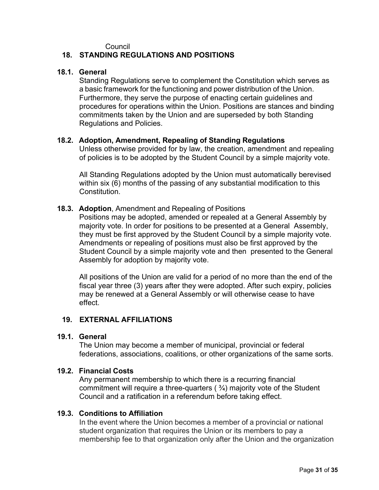#### Council

#### **18. STANDING REGULATIONS AND POSITIONS**

#### <span id="page-31-0"></span>**18.1. General**

Standing Regulations serve to complement the Constitution which serves as a basic framework for the functioning and power distribution of the Union. Furthermore, they serve the purpose of enacting certain guidelines and procedures for operations within the Union. Positions are stances and binding commitments taken by the Union and are superseded by both Standing Regulations and Policies.

#### **18.2. Adoption, Amendment, Repealing of Standing Regulations**

Unless otherwise provided for by law, the creation, amendment and repealing of policies is to be adopted by the Student Council by a simple majority vote.

All Standing Regulations adopted by the Union must automatically berevised within six (6) months of the passing of any substantial modification to this Constitution.

#### **18.3. Adoption**, Amendment and Repealing of Positions

Positions may be adopted, amended or repealed at a General Assembly by majority vote. In order for positions to be presented at a General Assembly, they must be first approved by the Student Council by a simple majority vote. Amendments or repealing of positions must also be first approved by the Student Council by a simple majority vote and then presented to the General Assembly for adoption by majority vote.

All positions of the Union are valid for a period of no more than the end of the fiscal year three (3) years after they were adopted. After such expiry, policies may be renewed at a General Assembly or will otherwise cease to have effect.

#### **19. EXTERNAL AFFILIATIONS**

#### <span id="page-31-1"></span>**19.1. General**

The Union may become a member of municipal, provincial or federal federations, associations, coalitions, or other organizations of the same sorts.

#### **19.2. Financial Costs**

Any permanent membership to which there is a recurring financial commitment will require a three-quarters  $( \frac{3}{4} )$  majority vote of the Student Council and a ratification in a referendum before taking effect.

#### **19.3. Conditions to Affiliation**

In the event where the Union becomes a member of a provincial or national student organization that requires the Union or its members to pay a membership fee to that organization only after the Union and the organization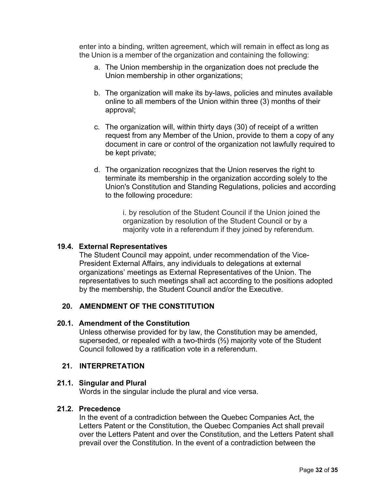enter into a binding, written agreement, which will remain in effect as long as the Union is a member of the organization and containing the following:

- a. The Union membership in the organization does not preclude the Union membership in other organizations;
- b. The organization will make its by-laws, policies and minutes available online to all members of the Union within three (3) months of their approval;
- c. The organization will, within thirty days (30) of receipt of a written request from any Member of the Union, provide to them a copy of any document in care or control of the organization not lawfully required to be kept private;
- d. The organization recognizes that the Union reserves the right to terminate its membership in the organization according solely to the Union's Constitution and Standing Regulations, policies and according to the following procedure:

i. by resolution of the Student Council if the Union joined the organization by resolution of the Student Council or by a majority vote in a referendum if they joined by referendum.

#### **19.4. External Representatives**

The Student Council may appoint, under recommendation of the Vice-President External Affairs, any individuals to delegations at external organizations' meetings as External Representatives of the Union. The representatives to such meetings shall act according to the positions adopted by the membership, the Student Council and/or the Executive.

## **20. AMENDMENT OF THE CONSTITUTION**

#### <span id="page-32-0"></span>**20.1. Amendment of the Constitution**

Unless otherwise provided for by law, the Constitution may be amended, superseded, or repealed with a two-thirds (⅔) majority vote of the Student Council followed by a ratification vote in a referendum.

#### **21. INTERPRETATION**

#### <span id="page-32-1"></span>**21.1. Singular and Plural**

Words in the singular include the plural and vice versa.

#### **21.2. Precedence**

In the event of a contradiction between the Quebec Companies Act, the Letters Patent or the Constitution, the Quebec Companies Act shall prevail over the Letters Patent and over the Constitution, and the Letters Patent shall prevail over the Constitution. In the event of a contradiction between the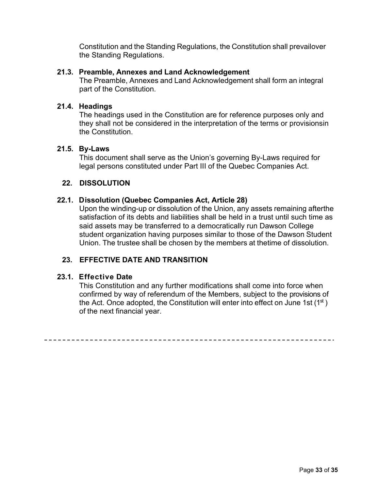Constitution and the Standing Regulations, the Constitution shall prevailover the Standing Regulations.

#### **21.3. Preamble, Annexes and Land Acknowledgement**

The Preamble, Annexes and Land Acknowledgement shall form an integral part of the Constitution.

#### **21.4. Headings**

The headings used in the Constitution are for reference purposes only and they shall not be considered in the interpretation of the terms or provisionsin the Constitution.

#### **21.5. By-Laws**

This document shall serve as the Union's governing By-Laws required for legal persons constituted under Part III of the Quebec Companies Act.

## **22. DISSOLUTION**

## <span id="page-33-0"></span>**22.1. Dissolution (Quebec Companies Act, Article 28)**

Upon the winding-up or dissolution of the Union, any assets remaining afterthe satisfaction of its debts and liabilities shall be held in a trust until such time as said assets may be transferred to a democratically run Dawson College student organization having purposes similar to those of the Dawson Student Union. The trustee shall be chosen by the members at thetime of dissolution.

## **23. EFFECTIVE DATE AND TRANSITION**

#### <span id="page-33-1"></span>**23.1. Effective Date**

This Constitution and any further modifications shall come into force when confirmed by way of referendum of the Members, subject to the provisions of the Act. Once adopted, the Constitution will enter into effect on June 1st  $(1<sup>st</sup>)$ of the next financial year.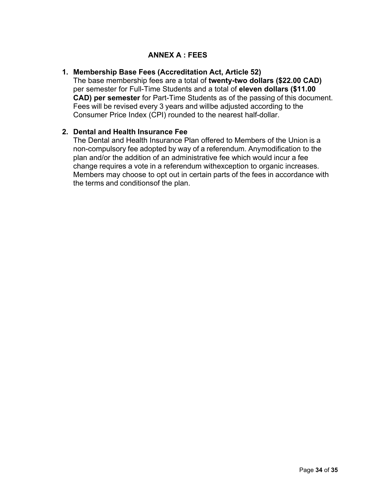## **ANNEX A : FEES**

## <span id="page-34-1"></span><span id="page-34-0"></span>**1. Membership Base Fees (Accreditation Act, Article 52)**

The base membership fees are a total of **twenty-two dollars (\$22.00 CAD)** per semester for Full-Time Students and a total of **eleven dollars (\$11.00 CAD) per semester** for Part-Time Students as of the passing of this document. Fees will be revised every 3 years and willbe adjusted according to the Consumer Price Index (CPI) rounded to the nearest half-dollar.

## <span id="page-34-2"></span>**2. Dental and Health Insurance Fee**

The Dental and Health Insurance Plan offered to Members of the Union is a non-compulsory fee adopted by way of a referendum. Anymodification to the plan and/or the addition of an administrative fee which would incur a fee change requires a vote in a referendum withexception to organic increases. Members may choose to opt out in certain parts of the fees in accordance with the terms and conditionsof the plan.